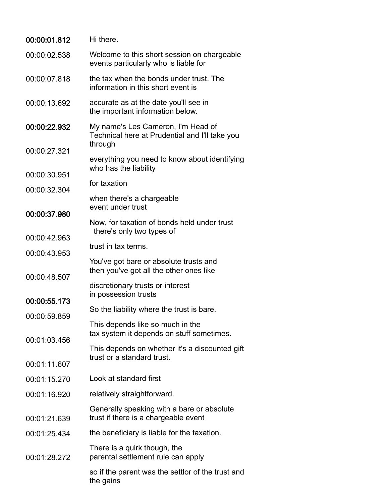| 00:00:01.812 | Hi there.                                                                            |
|--------------|--------------------------------------------------------------------------------------|
| 00:00:02.538 | Welcome to this short session on chargeable<br>events particularly who is liable for |
| 00:00:07.818 | the tax when the bonds under trust. The<br>information in this short event is        |
| 00:00:13.692 | accurate as at the date you'll see in<br>the important information below.            |
| 00:00:22.932 | My name's Les Cameron, I'm Head of<br>Technical here at Prudential and I'll take you |
| 00:00:27.321 | through                                                                              |
|              | everything you need to know about identifying<br>who has the liability               |
| 00:00:30.951 | for taxation                                                                         |
| 00:00:32.304 | when there's a chargeable<br>event under trust                                       |
| 00:00:37.980 | Now, for taxation of bonds held under trust<br>there's only two types of             |
| 00:00:42.963 | trust in tax terms.                                                                  |
| 00:00:43.953 | You've got bare or absolute trusts and<br>then you've got all the other ones like    |
| 00:00:48.507 | discretionary trusts or interest<br>in possession trusts                             |
| 00:00:55.173 | So the liability where the trust is bare.                                            |
| 00:00:59.859 | This depends like so much in the                                                     |
| 00:01:03.456 | tax system it depends on stuff sometimes.                                            |
|              | This depends on whether it's a discounted gift<br>trust or a standard trust.         |
| 00:01:11.607 |                                                                                      |
| 00:01:15.270 | Look at standard first                                                               |
| 00:01:16.920 | relatively straightforward.                                                          |
| 00:01:21.639 | Generally speaking with a bare or absolute<br>trust if there is a chargeable event   |
| 00:01:25.434 | the beneficiary is liable for the taxation.                                          |
| 00:01:28.272 | There is a quirk though, the<br>parental settlement rule can apply                   |
|              | so if the parent was the settlor of the trust and<br>the gains                       |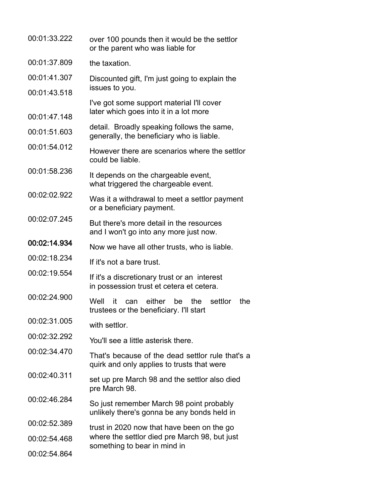| 00:01:33.222 | over 100 pounds then it would be the settlor<br>or the parent who was liable for                      |
|--------------|-------------------------------------------------------------------------------------------------------|
| 00:01:37.809 | the taxation.                                                                                         |
| 00:01:41.307 | Discounted gift, I'm just going to explain the                                                        |
| 00:01:43.518 | issues to you.                                                                                        |
| 00:01:47.148 | I've got some support material I'll cover<br>later which goes into it in a lot more                   |
| 00:01:51.603 | detail. Broadly speaking follows the same,<br>generally, the beneficiary who is liable.               |
| 00:01:54.012 | However there are scenarios where the settlor<br>could be liable.                                     |
| 00:01:58.236 | It depends on the chargeable event,<br>what triggered the chargeable event.                           |
| 00:02:02.922 | Was it a withdrawal to meet a settlor payment<br>or a beneficiary payment.                            |
| 00:02:07.245 | But there's more detail in the resources<br>and I won't go into any more just now.                    |
| 00:02:14.934 | Now we have all other trusts, who is liable.                                                          |
| 00:02:18.234 | If it's not a bare trust.                                                                             |
| 00:02:19.554 | If it's a discretionary trust or an interest<br>in possession trust et cetera et cetera.              |
| 00:02:24.900 | either<br>settlor<br>the<br>Well<br>be<br>the<br>it<br>can<br>trustees or the beneficiary. I'll start |
| 00:02:31.005 | with settlor.                                                                                         |
| 00:02:32.292 | You'll see a little asterisk there.                                                                   |
| 00:02:34.470 | That's because of the dead settlor rule that's a<br>quirk and only applies to trusts that were        |
| 00:02:40.311 | set up pre March 98 and the settlor also died<br>pre March 98.                                        |
| 00:02:46.284 | So just remember March 98 point probably<br>unlikely there's gonna be any bonds held in               |
| 00:02:52.389 | trust in 2020 now that have been on the go                                                            |
| 00:02:54.468 | where the settlor died pre March 98, but just<br>something to bear in mind in                         |
| 00:02:54.864 |                                                                                                       |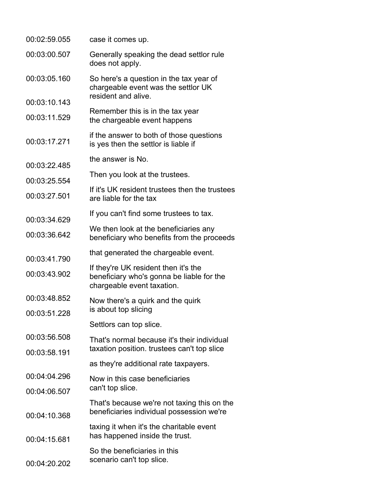| 00:02:59.055 | case it comes up.                                                                                               |
|--------------|-----------------------------------------------------------------------------------------------------------------|
| 00:03:00.507 | Generally speaking the dead settlor rule<br>does not apply.                                                     |
| 00:03:05.160 | So here's a question in the tax year of<br>chargeable event was the settlor UK<br>resident and alive.           |
| 00:03:10.143 |                                                                                                                 |
| 00:03:11.529 | Remember this is in the tax year<br>the chargeable event happens                                                |
| 00:03:17.271 | if the answer to both of those questions<br>is yes then the settlor is liable if                                |
| 00:03:22.485 | the answer is No.                                                                                               |
| 00:03:25.554 | Then you look at the trustees.                                                                                  |
| 00:03:27.501 | If it's UK resident trustees then the trustees<br>are liable for the tax                                        |
| 00:03:34.629 | If you can't find some trustees to tax.                                                                         |
| 00:03:36.642 | We then look at the beneficiaries any<br>beneficiary who benefits from the proceeds                             |
| 00:03:41.790 | that generated the chargeable event.                                                                            |
| 00:03:43.902 | If they're UK resident then it's the<br>beneficiary who's gonna be liable for the<br>chargeable event taxation. |
| 00:03:48.852 | Now there's a quirk and the quirk                                                                               |
| 00:03:51.228 | is about top slicing                                                                                            |
|              | Settlors can top slice.                                                                                         |
| 00:03:56.508 | That's normal because it's their individual                                                                     |
| 00:03:58.191 | taxation position. trustees can't top slice                                                                     |
|              | as they're additional rate taxpayers.                                                                           |
| 00:04:04.296 | Now in this case beneficiaries                                                                                  |
| 00:04:06.507 | can't top slice.                                                                                                |
| 00:04:10.368 | That's because we're not taxing this on the<br>beneficiaries individual possession we're                        |
| 00:04:15.681 | taxing it when it's the charitable event<br>has happened inside the trust.                                      |
| 00:04:20.202 | So the beneficiaries in this<br>scenario can't top slice.                                                       |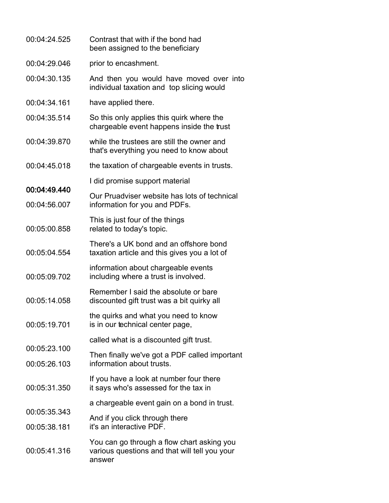| 00:04:24.525                 | Contrast that with if the bond had<br>been assigned to the beneficiary                                |
|------------------------------|-------------------------------------------------------------------------------------------------------|
| 00:04:29.046                 | prior to encashment.                                                                                  |
| 00:04:30.135                 | And then you would have moved over into<br>individual taxation and top slicing would                  |
| 00:04:34.161                 | have applied there.                                                                                   |
| 00:04:35.514                 | So this only applies this quirk where the<br>chargeable event happens inside the trust                |
| 00:04:39.870                 | while the trustees are still the owner and<br>that's everything you need to know about                |
| 00:04:45.018                 | the taxation of chargeable events in trusts.                                                          |
|                              | I did promise support material                                                                        |
| 00:04:49.440<br>00:04:56.007 | Our Pruadviser website has lots of technical<br>information for you and PDFs.                         |
| 00:05:00.858                 | This is just four of the things<br>related to today's topic.                                          |
| 00:05:04.554                 | There's a UK bond and an offshore bond<br>taxation article and this gives you a lot of                |
| 00:05:09.702                 | information about chargeable events<br>including where a trust is involved.                           |
| 00:05:14.058                 | Remember I said the absolute or bare<br>discounted gift trust was a bit quirky all                    |
| 00:05:19.701                 | the quirks and what you need to know<br>is in our technical center page,                              |
|                              | called what is a discounted gift trust.                                                               |
| 00:05:23.100<br>00:05:26.103 | Then finally we've got a PDF called important<br>information about trusts.                            |
| 00:05:31.350                 | If you have a look at number four there<br>it says who's assessed for the tax in                      |
|                              | a chargeable event gain on a bond in trust.                                                           |
| 00:05:35.343                 | And if you click through there                                                                        |
| 00:05:38.181                 | it's an interactive PDF.                                                                              |
| 00:05:41.316                 | You can go through a flow chart asking you<br>various questions and that will tell you your<br>answer |